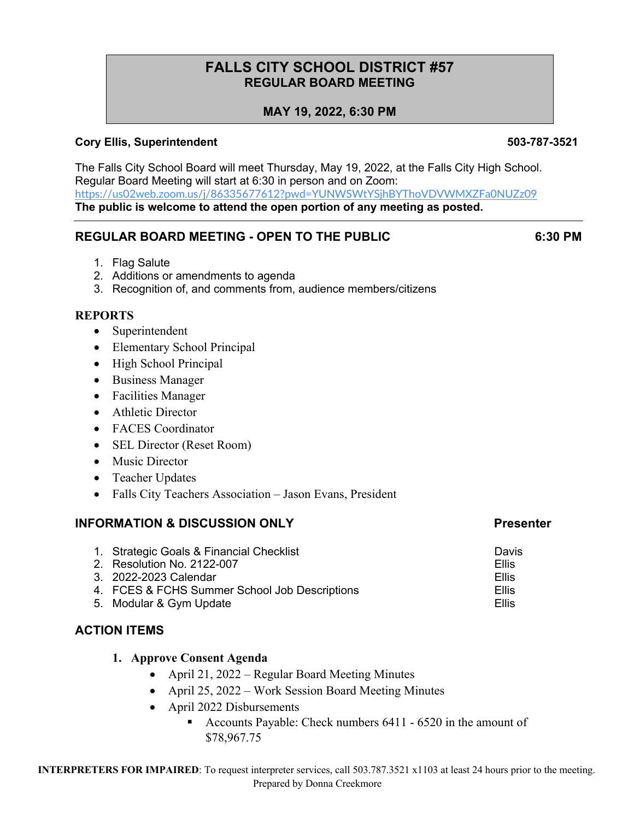# **FALLS CITY SCHOOL DISTRICT #57 REGULAR BOARD MEETING**

## **MAY 19, 2022, 6:30 PM**

### **Cory Ellis, Superintendent 503-787-3521**

The Falls City School Board will meet Thursday, May 19, 2022, at the Falls City High School. Regular Board Meeting will start at 6:30 in person and on Zoom: https://us02web.zoom.us/j/86335677612?pwd=YUNWSWtYSjhBYThoVDVWMXZFa0NUZz09 **The public is welcome to attend the open portion of any meeting as posted.**

## **REGULAR BOARD MEETING - OPEN TO THE PUBLIC 6:30 PM**

- 1. Flag Salute
- 2. Additions or amendments to agenda
- 3. Recognition of, and comments from, audience members/citizens

### **REPORTS**

- Superintendent
- Elementary School Principal
- High School Principal
- Business Manager
- Facilities Manager
- Athletic Director
- FACES Coordinator
- SEL Director (Reset Room)
- Music Director
- Teacher Updates
- Falls City Teachers Association Jason Evans, President

#### **INFORMATION & DISCUSSION ONLY And All Accounts that the Presenter**

| 1. Strategic Goals & Financial Checklist      | Davis        |
|-----------------------------------------------|--------------|
| 2. Resolution No. 2122-007                    | <b>Ellis</b> |
| 3. 2022-2023 Calendar                         | Ellis        |
| 4. FCES & FCHS Summer School Job Descriptions | Ellis        |
| 5. Modular & Gym Update                       | Ellis        |

### **ACTION ITEMS**

#### **1. Approve Consent Agenda**

- April 21, 2022 Regular Board Meeting Minutes
- April 25, 2022 Work Session Board Meeting Minutes
- April 2022 Disbursements
	- Accounts Payable: Check numbers 6411 6520 in the amount of \$78,967.75